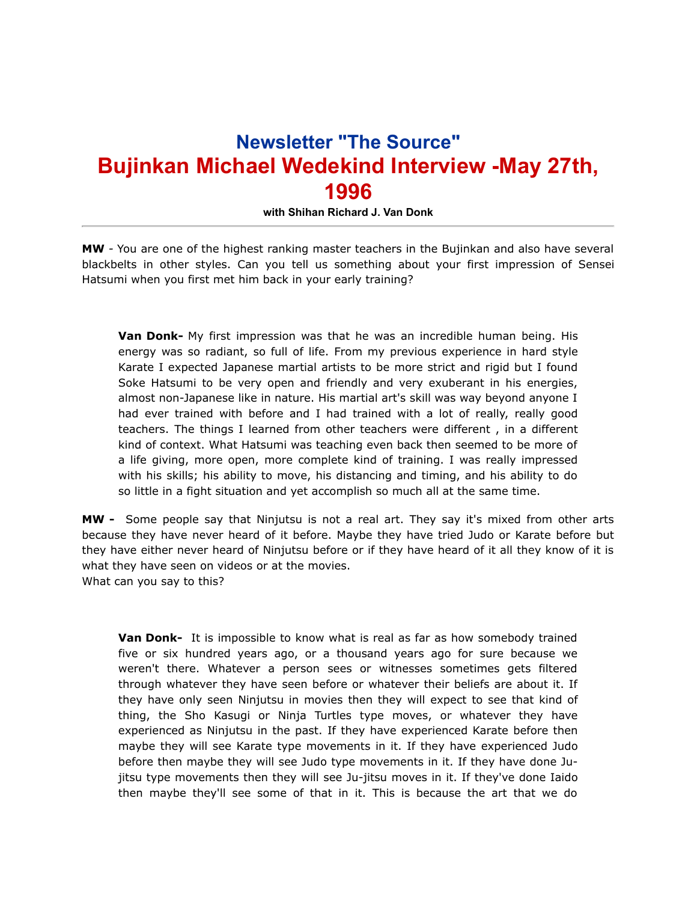## **Newsletter "The Source" Bujinkan Michael Wedekind Interview -May 27th, 1996**

**with Shihan Richard J. Van Donk**

**MW** *-* You are one of the highest ranking master teachers in the Bujinkan and also have several blackbelts in other styles. Can you tell us something about your first impression of Sensei Hatsumi when you first met him back in your early training?

**Van Donk-** My first impression was that he was an incredible human being. His energy was so radiant, so full of life. From my previous experience in hard style Karate I expected Japanese martial artists to be more strict and rigid but I found Soke Hatsumi to be very open and friendly and very exuberant in his energies, almost non-Japanese like in nature. His martial art's skill was way beyond anyone I had ever trained with before and I had trained with a lot of really, really good teachers. The things I learned from other teachers were different , in a different kind of context. What Hatsumi was teaching even back then seemed to be more of a life giving, more open, more complete kind of training. I was really impressed with his skills; his ability to move, his distancing and timing, and his ability to do so little in a fight situation and yet accomplish so much all at the same time.

**MW -** Some people say that Ninjutsu is not a real art. They say it's mixed from other arts because they have never heard of it before. Maybe they have tried Judo or Karate before but they have either never heard of Ninjutsu before or if they have heard of it all they know of it is what they have seen on videos or at the movies. What can you say to this?

**Van Donk-** It is impossible to know what is real as far as how somebody trained five or six hundred years ago, or a thousand years ago for sure because we weren't there. Whatever a person sees or witnesses sometimes gets filtered through whatever they have seen before or whatever their beliefs are about it. If they have only seen Ninjutsu in movies then they will expect to see that kind of thing, the Sho Kasugi or Ninja Turtles type moves, or whatever they have experienced as Ninjutsu in the past. If they have experienced Karate before then maybe they will see Karate type movements in it. If they have experienced Judo before then maybe they will see Judo type movements in it. If they have done Jujitsu type movements then they will see Ju-jitsu moves in it. If they've done Iaido then maybe they'll see some of that in it. This is because the art that we do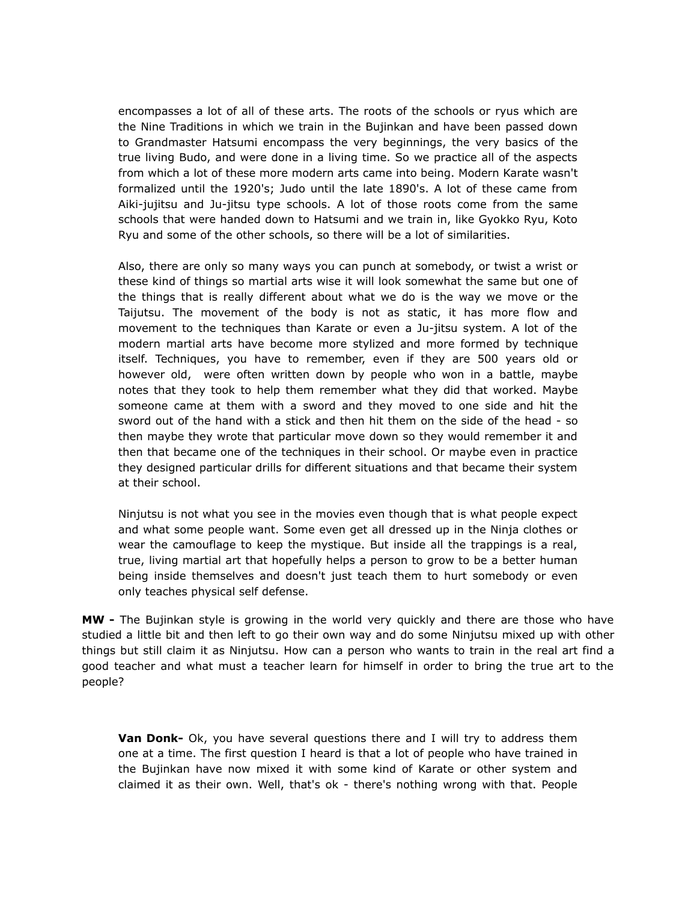encompasses a lot of all of these arts. The roots of the schools or ryus which are the Nine Traditions in which we train in the Bujinkan and have been passed down to Grandmaster Hatsumi encompass the very beginnings, the very basics of the true living Budo, and were done in a living time. So we practice all of the aspects from which a lot of these more modern arts came into being. Modern Karate wasn't formalized until the 1920's; Judo until the late 1890's. A lot of these came from Aiki-jujitsu and Ju-jitsu type schools. A lot of those roots come from the same schools that were handed down to Hatsumi and we train in, like Gyokko Ryu, Koto Ryu and some of the other schools, so there will be a lot of similarities.

Also, there are only so many ways you can punch at somebody, or twist a wrist or these kind of things so martial arts wise it will look somewhat the same but one of the things that is really different about what we do is the way we move or the Taijutsu. The movement of the body is not as static, it has more flow and movement to the techniques than Karate or even a Ju-jitsu system. A lot of the modern martial arts have become more stylized and more formed by technique itself. Techniques, you have to remember, even if they are 500 years old or however old, were often written down by people who won in a battle, maybe notes that they took to help them remember what they did that worked. Maybe someone came at them with a sword and they moved to one side and hit the sword out of the hand with a stick and then hit them on the side of the head - so then maybe they wrote that particular move down so they would remember it and then that became one of the techniques in their school. Or maybe even in practice they designed particular drills for different situations and that became their system at their school.

Ninjutsu is not what you see in the movies even though that is what people expect and what some people want. Some even get all dressed up in the Ninja clothes or wear the camouflage to keep the mystique. But inside all the trappings is a real, true, living martial art that hopefully helps a person to grow to be a better human being inside themselves and doesn't just teach them to hurt somebody or even only teaches physical self defense.

**MW -** The Bujinkan style is growing in the world very quickly and there are those who have studied a little bit and then left to go their own way and do some Ninjutsu mixed up with other things but still claim it as Ninjutsu. How can a person who wants to train in the real art find a good teacher and what must a teacher learn for himself in order to bring the true art to the people?

**Van Donk-** Ok, you have several questions there and I will try to address them one at a time. The first question I heard is that a lot of people who have trained in the Bujinkan have now mixed it with some kind of Karate or other system and claimed it as their own. Well, that's ok - there's nothing wrong with that. People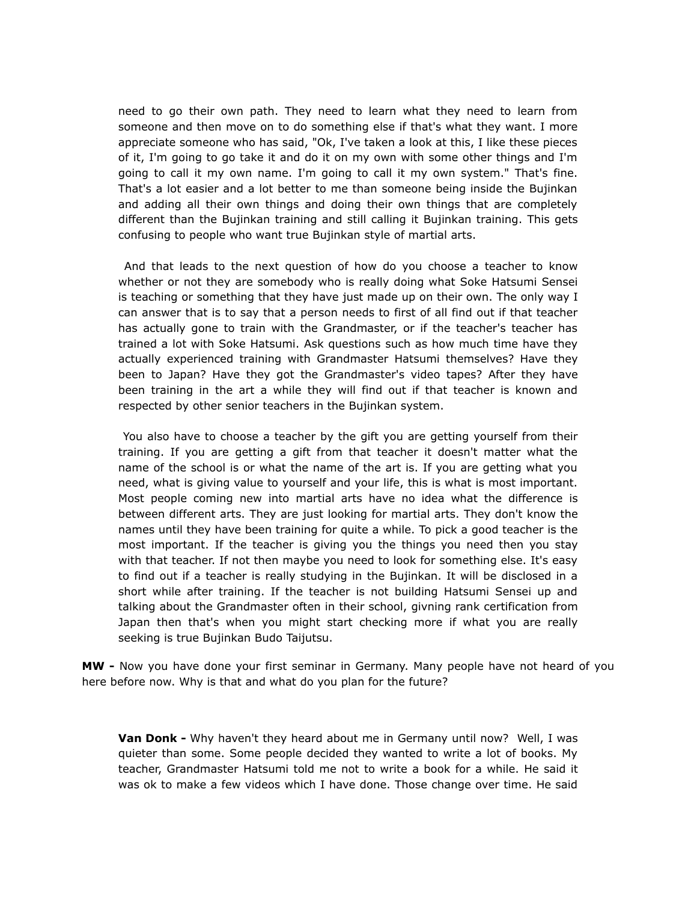need to go their own path. They need to learn what they need to learn from someone and then move on to do something else if that's what they want. I more appreciate someone who has said, "Ok, I've taken a look at this, I like these pieces of it, I'm going to go take it and do it on my own with some other things and I'm going to call it my own name. I'm going to call it my own system." That's fine. That's a lot easier and a lot better to me than someone being inside the Bujinkan and adding all their own things and doing their own things that are completely different than the Bujinkan training and still calling it Bujinkan training. This gets confusing to people who want true Bujinkan style of martial arts.

 And that leads to the next question of how do you choose a teacher to know whether or not they are somebody who is really doing what Soke Hatsumi Sensei is teaching or something that they have just made up on their own. The only way I can answer that is to say that a person needs to first of all find out if that teacher has actually gone to train with the Grandmaster, or if the teacher's teacher has trained a lot with Soke Hatsumi. Ask questions such as how much time have they actually experienced training with Grandmaster Hatsumi themselves? Have they been to Japan? Have they got the Grandmaster's video tapes? After they have been training in the art a while they will find out if that teacher is known and respected by other senior teachers in the Bujinkan system.

 You also have to choose a teacher by the gift you are getting yourself from their training. If you are getting a gift from that teacher it doesn't matter what the name of the school is or what the name of the art is. If you are getting what you need, what is giving value to yourself and your life, this is what is most important. Most people coming new into martial arts have no idea what the difference is between different arts. They are just looking for martial arts. They don't know the names until they have been training for quite a while. To pick a good teacher is the most important. If the teacher is giving you the things you need then you stay with that teacher. If not then maybe you need to look for something else. It's easy to find out if a teacher is really studying in the Bujinkan. It will be disclosed in a short while after training. If the teacher is not building Hatsumi Sensei up and talking about the Grandmaster often in their school, givning rank certification from Japan then that's when you might start checking more if what you are really seeking is true Bujinkan Budo Taijutsu.

**MW -** Now you have done your first seminar in Germany. Many people have not heard of you here before now. Why is that and what do you plan for the future?

**Van Donk -** Why haven't they heard about me in Germany until now? Well, I was quieter than some. Some people decided they wanted to write a lot of books. My teacher, Grandmaster Hatsumi told me not to write a book for a while. He said it was ok to make a few videos which I have done. Those change over time. He said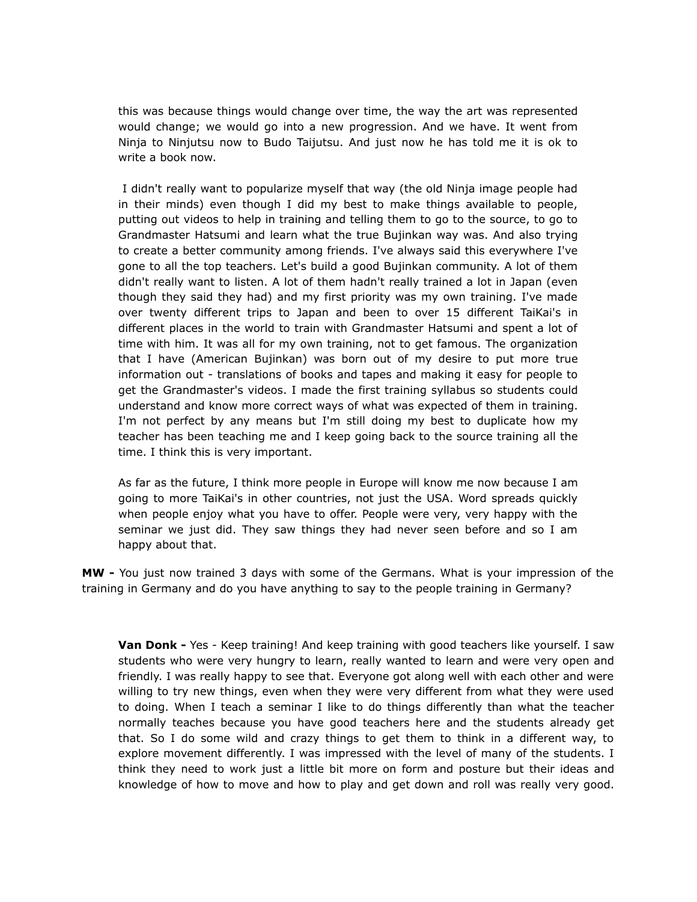this was because things would change over time, the way the art was represented would change; we would go into a new progression. And we have. It went from Ninja to Ninjutsu now to Budo Taijutsu. And just now he has told me it is ok to write a book now.

 I didn't really want to popularize myself that way (the old Ninja image people had in their minds) even though I did my best to make things available to people, putting out videos to help in training and telling them to go to the source, to go to Grandmaster Hatsumi and learn what the true Bujinkan way was. And also trying to create a better community among friends. I've always said this everywhere I've gone to all the top teachers. Let's build a good Bujinkan community. A lot of them didn't really want to listen. A lot of them hadn't really trained a lot in Japan (even though they said they had) and my first priority was my own training. I've made over twenty different trips to Japan and been to over 15 different TaiKai's in different places in the world to train with Grandmaster Hatsumi and spent a lot of time with him. It was all for my own training, not to get famous. The organization that I have (American Bujinkan) was born out of my desire to put more true information out - translations of books and tapes and making it easy for people to get the Grandmaster's videos. I made the first training syllabus so students could understand and know more correct ways of what was expected of them in training. I'm not perfect by any means but I'm still doing my best to duplicate how my teacher has been teaching me and I keep going back to the source training all the time. I think this is very important.

As far as the future, I think more people in Europe will know me now because I am going to more TaiKai's in other countries, not just the USA. Word spreads quickly when people enjoy what you have to offer. People were very, very happy with the seminar we just did. They saw things they had never seen before and so I am happy about that.

**MW -** You just now trained 3 days with some of the Germans. What is your impression of the training in Germany and do you have anything to say to the people training in Germany?

**Van Donk -** Yes - Keep training! And keep training with good teachers like yourself. I saw students who were very hungry to learn, really wanted to learn and were very open and friendly. I was really happy to see that. Everyone got along well with each other and were willing to try new things, even when they were very different from what they were used to doing. When I teach a seminar I like to do things differently than what the teacher normally teaches because you have good teachers here and the students already get that. So I do some wild and crazy things to get them to think in a different way, to explore movement differently. I was impressed with the level of many of the students. I think they need to work just a little bit more on form and posture but their ideas and knowledge of how to move and how to play and get down and roll was really very good.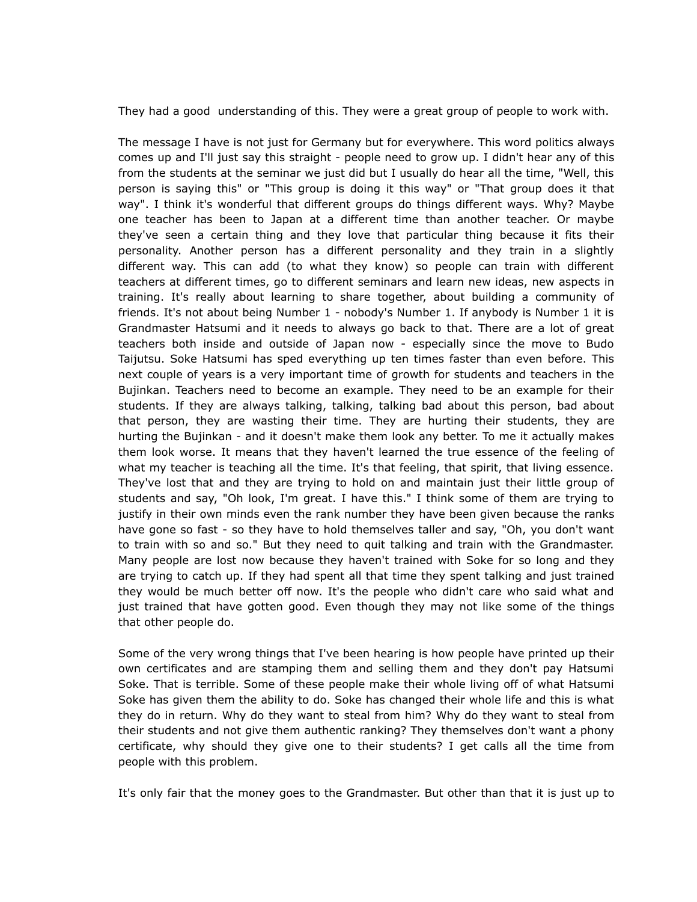They had a good understanding of this. They were a great group of people to work with.

The message I have is not just for Germany but for everywhere. This word politics always comes up and I'll just say this straight - people need to grow up. I didn't hear any of this from the students at the seminar we just did but I usually do hear all the time, "Well, this person is saying this" or "This group is doing it this way" or "That group does it that way". I think it's wonderful that different groups do things different ways. Why? Maybe one teacher has been to Japan at a different time than another teacher. Or maybe they've seen a certain thing and they love that particular thing because it fits their personality. Another person has a different personality and they train in a slightly different way. This can add (to what they know) so people can train with different teachers at different times, go to different seminars and learn new ideas, new aspects in training. It's really about learning to share together, about building a community of friends. It's not about being Number 1 - nobody's Number 1. If anybody is Number 1 it is Grandmaster Hatsumi and it needs to always go back to that. There are a lot of great teachers both inside and outside of Japan now - especially since the move to Budo Taijutsu. Soke Hatsumi has sped everything up ten times faster than even before. This next couple of years is a very important time of growth for students and teachers in the Bujinkan. Teachers need to become an example. They need to be an example for their students. If they are always talking, talking, talking bad about this person, bad about that person, they are wasting their time. They are hurting their students, they are hurting the Bujinkan - and it doesn't make them look any better. To me it actually makes them look worse. It means that they haven't learned the true essence of the feeling of what my teacher is teaching all the time. It's that feeling, that spirit, that living essence. They've lost that and they are trying to hold on and maintain just their little group of students and say, "Oh look, I'm great. I have this." I think some of them are trying to justify in their own minds even the rank number they have been given because the ranks have gone so fast - so they have to hold themselves taller and say, "Oh, you don't want to train with so and so." But they need to quit talking and train with the Grandmaster. Many people are lost now because they haven't trained with Soke for so long and they are trying to catch up. If they had spent all that time they spent talking and just trained they would be much better off now. It's the people who didn't care who said what and just trained that have gotten good. Even though they may not like some of the things that other people do.

Some of the very wrong things that I've been hearing is how people have printed up their own certificates and are stamping them and selling them and they don't pay Hatsumi Soke. That is terrible. Some of these people make their whole living off of what Hatsumi Soke has given them the ability to do. Soke has changed their whole life and this is what they do in return. Why do they want to steal from him? Why do they want to steal from their students and not give them authentic ranking? They themselves don't want a phony certificate, why should they give one to their students? I get calls all the time from people with this problem.

It's only fair that the money goes to the Grandmaster. But other than that it is just up to